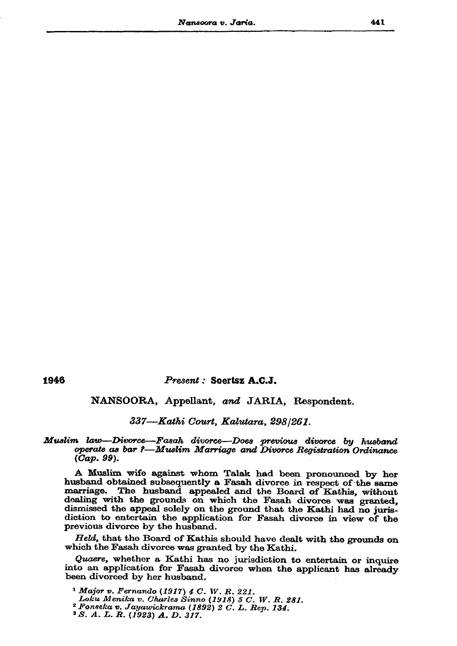1946

# Present : Soertsz A.C.J.

# NANSOORA, Appellant, and JARIA, Respondent.

# 337—Kathi Court, Kalutara, 298/261.

## Muslim law—Divorce—Fasah divorce—Does previous divorce by husband operate as bar ?—Muslim Marriage and Divorce Registration Ordinance  $(Cap. 99)$ .

A Muslim wife against whom Talak had been pronounced by her husband obtained subsequently a Fasah divorce in respect of the same marriage. The husband appealed and the Board of Kathis, without dealing with the grounds on which the Fasah divorce was granted, dismissed the appeal solely on the ground that the Kathi had no jurisdiction to entertain the application for Fasah divorce in view of the previous divorce by the husband.

Held, that the Board of Kathis should have dealt with the grounds on which the Fasah divorce was granted by the Kathi.

Quaere, whether a Kathi has no jurisdiction to entertain or inquire into an application for Fasah divorce when the applicant has already been divorced by her husband.

<sup>1</sup> Major v. Fernando (1917)  $4 C. W. R. 221.$ Loku Menika v. Charles Sinno (1918) 5 C. W. R. 281.  $2$  Fonseka v. Jayawickrama (1892) 2 C. L. Rep. 134. <sup>3</sup> S. A. L. R. (1923) A. D. 317.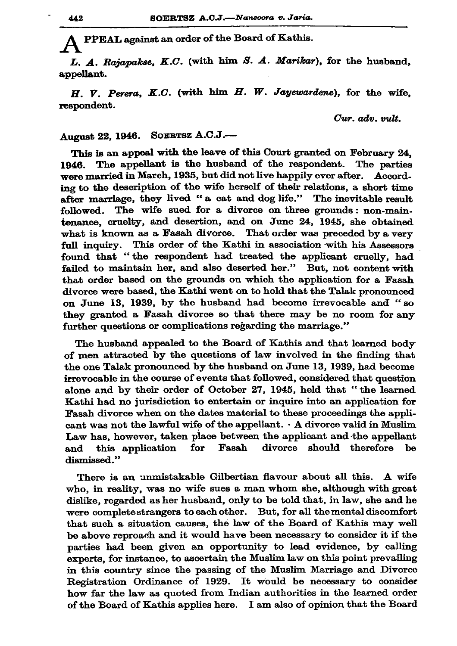PPEAL against an order of the Board of Kathis.

L. A. Rajapakse, K.C. (with him S. A. Marikar), for the husband. appellant.

 $H.$   $V.$  Perera, K.C. (with him  $H.$  W. Jayewardene), for the wife. respondent.

Cur. adv. vult.

#### SOERTSZ A.C.J.-August 22, 1946.

This is an appeal with the leave of this Court granted on February 24. 1946. The appellant is the husband of the respondent. The parties were married in March, 1935, but did not live happily ever after. According to the description of the wife herself of their relations, a short time after marriage, they lived "a cat and dog life." The inevitable result followed. The wife sued for a divorce on three grounds: non-maintenance, cruelty, and desertion, and on June 24, 1945, she obtained what is known as a Fasah divorce. That order was preceded by a very full inquiry. This order of the Kathi in association with his Assessors found that "the respondent had treated the applicant cruelly, had failed to maintain her, and also deserted her." But, not content with that order based on the grounds on which the application for a Fasah divorce were based, the Kathi went on to hold that the Talak pronounced on June 13, 1939, by the husband had become irrevocable and "so they granted a Fasah divorce so that there may be no room for any further questions or complications regarding the marriage."

The husband appealed to the Board of Kathis and that learned body of men attracted by the questions of law involved in the finding that the one Talak pronounced by the husband on June 13, 1939, had become irrevocable in the course of events that followed, considered that question alone and by their order of October 27, 1945, held that "the learned Kathi had no jurisdiction to entertain or inquire into an application for Fasah divorce when on the dates material to these proceedings the applicant was not the lawful wife of the appellant.  $\cdot$  A divorce valid in Muslim Law has, however, taken place between the applicant and the appellant and this application for  $\mathbf{F}\mathbf{as}\mathbf{ah}$ divorce should therefore be dismissed."

There is an unmistakable Gilbertian flavour about all this. A wife who, in reality, was no wife sues a man whom she, although with great dislike, regarded as her husband, only to be told that, in law, she and he were complete strangers to each other. But, for all the mental discomfort that such a situation causes, the law of the Board of Kathis may well be above reproach and it would have been necessary to consider it if the parties had been given an opportunity to lead evidence, by calling experts, for instance, to ascertain the Muslim law on this point prevailing in this country since the passing of the Muslim Marriage and Divorce Registration Ordinance of 1929. It would be necessary to consider how far the law as quoted from Indian authorities in the learned order of the Board of Kathis applies here. I am also of opinion that the Board